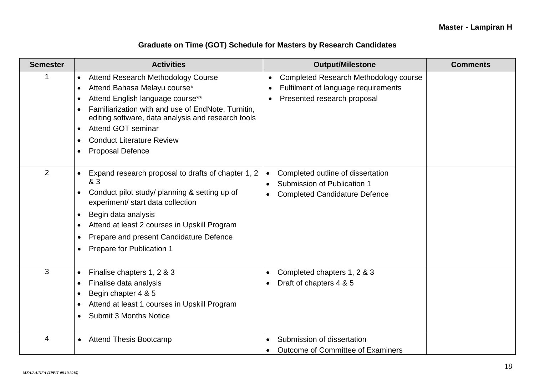## **Graduate on Time (GOT) Schedule for Masters by Research Candidates**

| <b>Semester</b> | <b>Activities</b>                                                                                                                                                                                                                                                                                                                        | <b>Output/Milestone</b>                                                                                                                    | <b>Comments</b> |
|-----------------|------------------------------------------------------------------------------------------------------------------------------------------------------------------------------------------------------------------------------------------------------------------------------------------------------------------------------------------|--------------------------------------------------------------------------------------------------------------------------------------------|-----------------|
| 1               | <b>Attend Research Methodology Course</b><br>$\bullet$<br>Attend Bahasa Melayu course*<br>Attend English language course**<br>Familiarization with and use of EndNote, Turnitin,<br>editing software, data analysis and research tools<br>Attend GOT seminar<br>$\bullet$<br><b>Conduct Literature Review</b><br><b>Proposal Defence</b> | Completed Research Methodology course<br>$\bullet$<br>Fulfilment of language requirements<br>$\bullet$<br>Presented research proposal<br>٠ |                 |
| $\overline{2}$  | Expand research proposal to drafts of chapter 1, 2<br>$\bullet$<br>& 3<br>Conduct pilot study/ planning & setting up of<br>experiment/ start data collection<br>Begin data analysis<br>$\bullet$<br>Attend at least 2 courses in Upskill Program<br>Prepare and present Candidature Defence<br>Prepare for Publication 1                 | Completed outline of dissertation<br>$\bullet$<br>Submission of Publication 1<br><b>Completed Candidature Defence</b><br>$\bullet$         |                 |
| 3               | Finalise chapters 1, 2 & 3<br>$\bullet$<br>Finalise data analysis<br>Begin chapter 4 & 5<br>Attend at least 1 courses in Upskill Program<br><b>Submit 3 Months Notice</b>                                                                                                                                                                | Completed chapters 1, 2 & 3<br>Draft of chapters 4 & 5                                                                                     |                 |
| 4               | <b>Attend Thesis Bootcamp</b>                                                                                                                                                                                                                                                                                                            | Submission of dissertation<br>Outcome of Committee of Examiners<br>$\bullet$                                                               |                 |